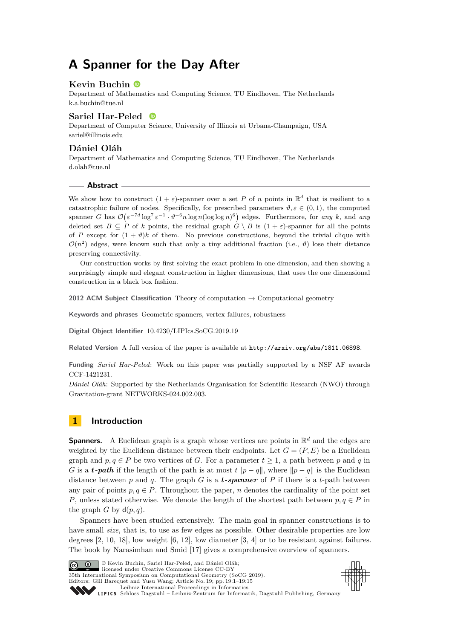# **A Spanner for the Day After**

# **Kevin Buchin**

Department of Mathematics and Computing Science, TU Eindhoven, The Netherlands [k.a.buchin@tue.nl](mailto:k.a.buchin@tue.nl)

## **Sariel Har-Peled**

Department of Computer Science, University of Illinois at Urbana-Champaign, USA [sariel@illinois.edu](mailto:sariel@illinois.edu)

# **Dániel Oláh**

Department of Mathematics and Computing Science, TU Eindhoven, The Netherlands [d.olah@tue.nl](mailto:d.olah@tue.nl)

#### **Abstract**

We show how to construct  $(1 + \varepsilon)$ -spanner over a set P of *n* points in  $\mathbb{R}^d$  that is resilient to a catastrophic failure of nodes. Specifically, for prescribed parameters  $\vartheta, \varepsilon \in (0,1)$ , the computed spanner *G* has  $\mathcal{O}(\varepsilon^{-7d} \log^7 \varepsilon^{-1} \cdot \vartheta^{-6} n \log n (\log \log n)^6)$  edges. Furthermore, for *any k*, and *any* deleted set  $B \subseteq P$  of *k* points, the residual graph  $G \setminus B$  is  $(1 + \varepsilon)$ -spanner for all the points of *P* except for  $(1 + \vartheta)k$  of them. No previous constructions, beyond the trivial clique with  $\mathcal{O}(n^2)$  edges, were known such that only a tiny additional fraction (i.e.,  $\vartheta$ ) lose their distance preserving connectivity.

Our construction works by first solving the exact problem in one dimension, and then showing a surprisingly simple and elegant construction in higher dimensions, that uses the one dimensional construction in a black box fashion.

**2012 ACM Subject Classification** Theory of computation → Computational geometry

**Keywords and phrases** Geometric spanners, vertex failures, robustness

**Digital Object Identifier** [10.4230/LIPIcs.SoCG.2019.19](https://doi.org/10.4230/LIPIcs.SoCG.2019.19)

**Related Version** A full version of the paper is available at <http://arxiv.org/abs/1811.06898>.

**Funding** *Sariel Har-Peled*: Work on this paper was partially supported by a NSF AF awards CCF-1421231.

*Dániel Oláh*: Supported by the Netherlands Organisation for Scientific Research (NWO) through Gravitation-grant NETWORKS-024.002.003.

# **1 Introduction**

**Spanners.** A Euclidean graph is a graph whose vertices are points in  $\mathbb{R}^d$  and the edges are weighted by the Euclidean distance between their endpoints. Let  $G = (P, E)$  be a Euclidean graph and  $p, q \in P$  be two vertices of *G*. For a parameter  $t \geq 1$ , a path between *p* and *q* in *G* is a *t*-*path* if the length of the path is at most  $t ||p - q||$ , where  $||p - q||$  is the Euclidean distance between *p* and *q*. The graph *G* is a *t-spanner* of *P* if there is a *t*-path between any pair of points  $p, q \in P$ . Throughout the paper, *n* denotes the cardinality of the point set *P*, unless stated otherwise. We denote the length of the shortest path between  $p, q \in P$  in the graph *G* by  $d(p, q)$ .

Spanners have been studied extensively. The main goal in spanner constructions is to have small *size*, that is, to use as few edges as possible. Other desirable properties are low degrees [\[2,](#page-14-0) [10,](#page-14-1) [18\]](#page-14-2), low weight [\[6,](#page-14-3) [12\]](#page-14-4), low diameter [\[3,](#page-14-5) [4\]](#page-14-6) or to be resistant against failures. The book by Narasimhan and Smid [\[17\]](#page-14-7) gives a comprehensive overview of spanners.



© Kevin Buchin, Sariel Har-Peled, and Dániel Oláh; licensed under Creative Commons License CC-BY 35th International Symposium on Computational Geometry (SoCG 2019). Editors: Gill Barequet and Yusu Wang; Article No. 19; pp. 19:1–19[:15](#page-14-8)

[Leibniz International Proceedings in Informatics](https://www.dagstuhl.de/lipics/) [Schloss Dagstuhl – Leibniz-Zentrum für Informatik, Dagstuhl Publishing, Germany](https://www.dagstuhl.de)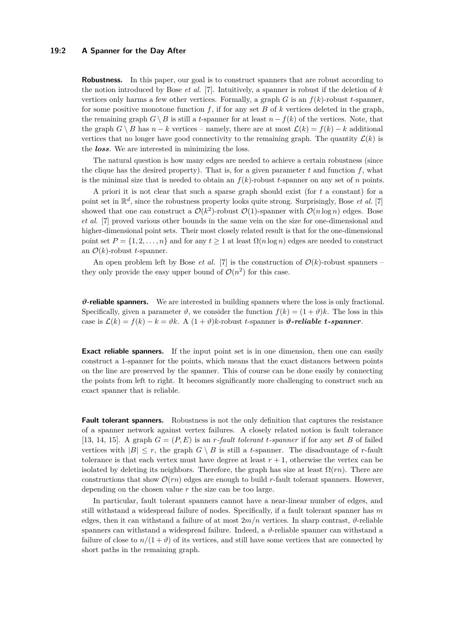#### **19:2 A Spanner for the Day After**

**Robustness.** In this paper, our goal is to construct spanners that are robust according to the notion introduced by Bose *et al.* [\[7\]](#page-14-9). Intuitively, a spanner is robust if the deletion of *k* vertices only harms a few other vertices. Formally, a graph  $G$  is an  $f(k)$ -robust *t*-spanner, for some positive monotone function  $f$ , if for any set  $B$  of  $k$  vertices deleted in the graph, the remaining graph  $G \setminus B$  is still a *t*-spanner for at least  $n - f(k)$  of the vertices. Note, that the graph *G* \ *B* has  $n - k$  vertices – namely, there are at most  $\mathcal{L}(k) = f(k) - k$  additional vertices that no longer have good connectivity to the remaining graph. The quantity  $\mathcal{L}(k)$  is the *loss*. We are interested in minimizing the loss.

The natural question is how many edges are needed to achieve a certain robustness (since the clique has the desired property). That is, for a given parameter  $t$  and function  $f$ , what is the minimal size that is needed to obtain an  $f(k)$ -robust *t*-spanner on any set of *n* points.

A priori it is not clear that such a sparse graph should exist (for *t* a constant) for a point set in  $\mathbb{R}^d$ , since the robustness property looks quite strong. Surprisingly, Bose *et al.* [\[7\]](#page-14-9) showed that one can construct a  $\mathcal{O}(k^2)$ -robust  $\mathcal{O}(1)$ -spanner with  $\mathcal{O}(n \log n)$  edges. Bose *et al.* [\[7\]](#page-14-9) proved various other bounds in the same vein on the size for one-dimensional and higher-dimensional point sets. Their most closely related result is that for the one-dimensional point set  $P = \{1, 2, \ldots, n\}$  and for any  $t \geq 1$  at least  $\Omega(n \log n)$  edges are needed to construct an  $\mathcal{O}(k)$ -robust *t*-spanner.

An open problem left by Bose *et al.* [\[7\]](#page-14-9) is the construction of  $\mathcal{O}(k)$ -robust spanners – they only provide the easy upper bound of  $\mathcal{O}(n^2)$  for this case.

*ϑ***-reliable spanners.** We are interested in building spanners where the loss is only fractional. Specifically, given a parameter  $\vartheta$ , we consider the function  $f(k) = (1 + \vartheta)k$ . The loss in this case is  $\mathcal{L}(k) = f(k) - k = \vartheta k$ . A  $(1 + \vartheta)k$ -robust *t*-spanner is  $\vartheta$ -reliable *t*-spanner.

**Exact reliable spanners.** If the input point set is in one dimension, then one can easily construct a 1-spanner for the points, which means that the exact distances between points on the line are preserved by the spanner. This of course can be done easily by connecting the points from left to right. It becomes significantly more challenging to construct such an exact spanner that is reliable.

**Fault tolerant spanners.** Robustness is not the only definition that captures the resistance of a spanner network against vertex failures. A closely related notion is fault tolerance [\[13,](#page-14-10) [14,](#page-14-11) [15\]](#page-14-12). A graph  $G = (P, E)$  is an *r*-fault tolerant *t*-spanner if for any set *B* of failed vertices with  $|B| \leq r$ , the graph  $G \setminus B$  is still a *t*-spanner. The disadvantage of *r*-fault tolerance is that each vertex must have degree at least  $r + 1$ , otherwise the vertex can be isolated by deleting its neighbors. Therefore, the graph has size at least  $\Omega(rn)$ . There are constructions that show  $\mathcal{O}(rn)$  edges are enough to build *r*-fault tolerant spanners. However, depending on the chosen value *r* the size can be too large.

In particular, fault tolerant spanners cannot have a near-linear number of edges, and still withstand a widespread failure of nodes. Specifically, if a fault tolerant spanner has *m* edges, then it can withstand a failure of at most  $2m/n$  vertices. In sharp contrast,  $\vartheta$ -reliable spanners can withstand a widespread failure. Indeed, a  $\vartheta$ -reliable spanner can withstand a failure of close to  $n/(1 + \vartheta)$  of its vertices, and still have some vertices that are connected by short paths in the remaining graph.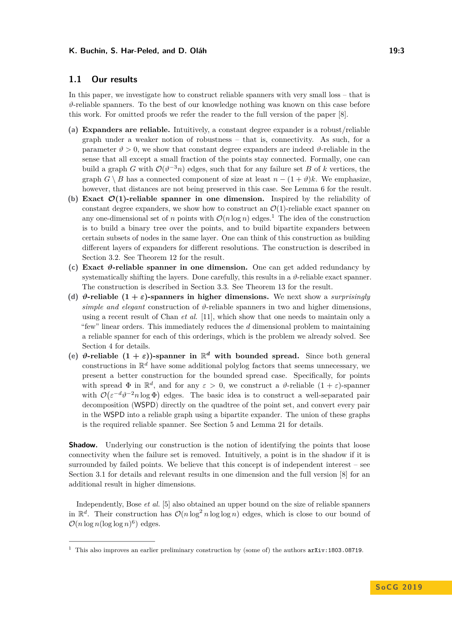# **1.1 Our results**

In this paper, we investigate how to construct reliable spanners with very small loss – that is  $\vartheta$ -reliable spanners. To the best of our knowledge nothing was known on this case before this work. For omitted proofs we refer the reader to the full version of the paper [\[8\]](#page-14-13).

- **(a) Expanders are reliable.** Intuitively, a constant degree expander is a robust/reliable graph under a weaker notion of robustness – that is, connectivity. As such, for a parameter  $\vartheta > 0$ , we show that constant degree expanders are indeed  $\vartheta$ -reliable in the sense that all except a small fraction of the points stay connected. Formally, one can build a graph *G* with  $\mathcal{O}(\vartheta^{-3}n)$  edges, such that for any failure set *B* of *k* vertices, the graph *G* \ *B* has a connected component of size at least  $n - (1 + \vartheta)k$ . We emphasize, however, that distances are not being preserved in this case. See [Lemma 6](#page-3-0) for the result.
- **(b) Exact**  $\mathcal{O}(1)$ -reliable spanner in one dimension. Inspired by the reliability of constant degree expanders, we show how to construct an  $\mathcal{O}(1)$ -reliable exact spanner on any one-dimensional set of *n* points with  $\mathcal{O}(n \log n)$  edges.<sup>[1](#page-2-0)</sup> The idea of the construction is to build a binary tree over the points, and to build bipartite expanders between certain subsets of nodes in the same layer. One can think of this construction as building different layers of expanders for different resolutions. The construction is described in [Section 3.2.](#page-5-0) See [Theorem 12](#page-7-0) for the result.
- **(c) Exact** *ϑ***-reliable spanner in one dimension.** One can get added redundancy by systematically shifting the layers. Done carefully, this results in a  $\vartheta$ -reliable exact spanner. The construction is described in [Section 3.3.](#page-8-0) See [Theorem 13](#page-8-1) for the result.
- **(d)** *ϑ***-reliable (1 +** *ε***)-spanners in higher dimensions.** We next show a *surprisingly simple and elegant* construction of  $\vartheta$ -reliable spanners in two and higher dimensions, using a recent result of Chan *et al.* [\[11\]](#page-14-14), which show that one needs to maintain only a "few" linear orders. This immediately reduces the *d* dimensional problem to maintaining a reliable spanner for each of this orderings, which is the problem we already solved. See [Section 4](#page-9-0) for details.
- **(e)**  $\vartheta$ -reliable  $(1 + \varepsilon)$ -spanner in  $\mathbb{R}^d$  with bounded spread. Since both general constructions in  $\mathbb{R}^d$  have some additional polylog factors that seems unnecessary, we present a better construction for the bounded spread case. Specifically, for points with spread  $\Phi$  in  $\mathbb{R}^d$ , and for any  $\varepsilon > 0$ , we construct a  $\vartheta$ -reliable  $(1 + \varepsilon)$ -spanner with  $\mathcal{O}(\varepsilon^{-d}\theta^{-2}n\log\Phi)$  edges. The basic idea is to construct a well-separated pair decomposition (WSPD) directly on the quadtree of the point set, and convert every pair in the WSPD into a reliable graph using a bipartite expander. The union of these graphs is the required reliable spanner. See [Section 5](#page-11-0) and [Lemma 21](#page-12-0) for details.

**Shadow.** Underlying our construction is the notion of identifying the points that loose connectivity when the failure set is removed. Intuitively, a point is in the shadow if it is surrounded by failed points. We believe that this concept is of independent interest – see [Section 3.1](#page-4-0) for details and relevant results in one dimension and the full version [\[8\]](#page-14-13) for an additional result in higher dimensions.

Independently, Bose *et al.* [\[5\]](#page-14-15) also obtained an upper bound on the size of reliable spanners in  $\mathbb{R}^d$ . Their construction has  $\mathcal{O}(n \log^2 n \log \log n)$  edges, which is close to our bound of  $\mathcal{O}(n \log n (\log \log n)^6)$  edges.

<span id="page-2-0"></span><sup>&</sup>lt;sup>1</sup> This also improves an earlier preliminary construction by (some of) the authors  $arXiv:1803.08719$ .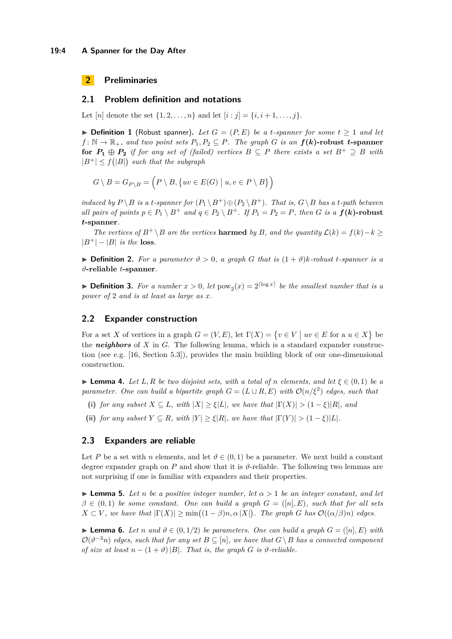#### **19:4 A Spanner for the Day After**

# **2 Preliminaries**

#### **2.1 Problem definition and notations**

Let [*n*] denote the set  $\{1, 2, \ldots, n\}$  and let  $[i : j] = \{i, i + 1, \ldots, j\}$ .

▶ **Definition 1** (Robust spanner). Let  $G = (P, E)$  be a *t*-spanner for some  $t ≥ 1$  and let  $f: \mathbb{N} \to \mathbb{R}_+$ *, and two point sets*  $P_1, P_2 \subseteq P$ *. The graph G is an*  $f(k)$ -robust *t*-spanner **for**  $P_1 \oplus P_2$  *if for any set of (failed) vertices*  $B \subseteq P$  *there exists a set*  $B^+ \supseteq B$  *with*  $|B^+| \leq f(|B|)$  such that the subgraph

$$
G \setminus B = G_{P \setminus B} = (P \setminus B, \{uv \in E(G) \mid u, v \in P \setminus B\})
$$

*induced by*  $P \ B$  *is a t-spanner for*  $(P_1 \ B^+) \oplus (P_2 \ B^+)$ *. That is,*  $G \ B$  *has a t-path between all pairs of points*  $p \in P_1 \setminus B^+$  *and*  $q \in P_2 \setminus B^+$ *. If*  $P_1 = P_2 = P$ *, then G is a*  $f(k)$ -robust *t***-spanner***.*

*The vertices of*  $B^+ \setminus B$  *are the vertices* **harmed** *by B, and the quantity*  $\mathcal{L}(k) = f(k) - k \geq$  $|B^+| - |B|$  *is the* **loss**.

 $\triangleright$  **Definition 2.** For a parameter  $\vartheta > 0$ , a graph G that is  $(1 + \vartheta)k$ *-robust t*-spanner is a *ϑ***-reliable** *t***-spanner***.*

**Definition 3.** For a number  $x > 0$ , let  $pow_2(x) = 2^{\lceil log x \rceil}$  be the smallest number that is a *power of* 2 *and is at least as large as x.*

#### **2.2 Expander construction**

For a set *X* of vertices in a graph  $G = (V, E)$ , let  $\Gamma(X) = \{v \in V \mid uv \in E \text{ for a } u \in X\}$  be the *neighbors* of *X* in *G*. The following lemma, which is a standard expander construction (see e.g. [\[16,](#page-14-16) Section 5.3]), provides the main building block of our one-dimensional construction.

<span id="page-3-1"></span>**Lemma 4.** Let L, R be two disjoint sets, with a total of n elements, and let  $\xi \in (0,1)$  be a *parameter. One can build a bipartite graph*  $G = (L \cup R, E)$  *with*  $\mathcal{O}(n/\xi^2)$  *edges, such that* 

- (i) *for any subset*  $X \subseteq L$ *, with*  $|X| \geq \xi |L|$ *, we have that*  $|\Gamma(X)| > (1 \xi)|R|$ *, and*
- (ii) *for any subset*  $Y \subseteq R$ *, with*  $|Y| \geq \xi |R|$ *, we have that*  $|\Gamma(Y)| > (1 \xi)|L|$ *.*

#### **2.3 Expanders are reliable**

Let *P* be a set with *n* elements, and let  $\vartheta \in (0,1)$  be a parameter. We next build a constant degree expander graph on  $P$  and show that it is  $\vartheta$ -reliable. The following two lemmas are not surprising if one is familiar with expanders and their properties.

**Lemma 5.** Let *n* be a positive integer number, let  $\alpha > 1$  be an integer constant, and let  $\beta \in (0,1)$  *be some constant. One can build a graph*  $G = ([n], E)$ *, such that for all sets*  $X \subset V$ , we have that  $|\Gamma(X)| \ge \min((1-\beta)n, \alpha |X|)$ . The graph *G* has  $\mathcal{O}((\alpha/\beta)n)$  edges.

<span id="page-3-0"></span>► **Lemma 6.** *Let n* and  $\vartheta \in (0, 1/2)$  *be parameters. One can build a graph*  $G = (\lceil n \rceil, E)$  *with*  $\mathcal{O}(\vartheta^{-3}n)$  *edges, such that for any set*  $B \subseteq [n]$ *, we have that*  $G \setminus B$  *has a connected component of size at least*  $n - (1 + \vartheta) |B|$ *. That is, the graph G is*  $\vartheta$ -reliable.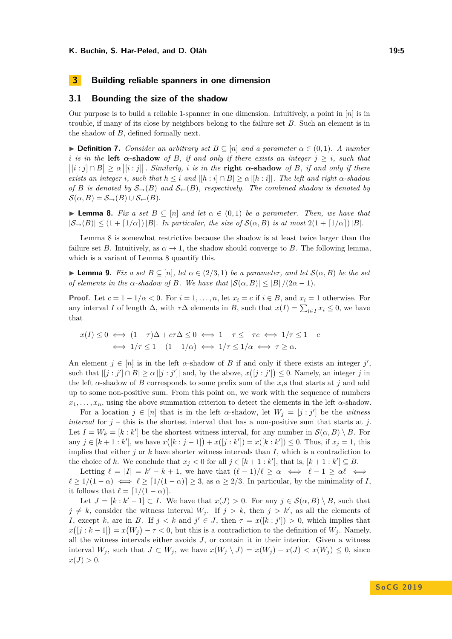# **3 Building reliable spanners in one dimension**

#### <span id="page-4-0"></span>**3.1 Bounding the size of the shadow**

Our purpose is to build a reliable 1-spanner in one dimension. Intuitively, a point in [*n*] is in trouble, if many of its close by neighbors belong to the failure set *B*. Such an element is in the shadow of *B*, defined formally next.

**► Definition 7.** *Consider an arbitrary set*  $B \subseteq [n]$  *and a parameter*  $\alpha \in (0,1)$ *. A number i is in the* **left**  $\alpha$ -shadow *of B, if and only if there exists an integer*  $j \geq i$ *, such that*  $\left| [i : j] \cap B \right| \geq \alpha \left| [i : j] \right|$ . *Similarly, i is in the* **right**  $\alpha$ -shadow of *B, if and only if there exists an integer i, such that*  $h \leq i$  *and*  $|[h : i] \cap B| \geq \alpha |[h : i]|$ . The left and right  $\alpha$ -shadow *of B is denoted by*  $S_{\rightarrow}(B)$  *and*  $S_{\leftarrow}(B)$ *, respectively. The combined shadow is denoted by*  $\mathcal{S}(\alpha, B) = \mathcal{S}_{\rightarrow}(B) \cup \mathcal{S}_{\leftarrow}(B)$ .

<span id="page-4-1"></span>**► Lemma 8.** Fix a set  $B \subseteq [n]$  and let  $\alpha \in (0,1)$  be a parameter. Then, we have that  $|S_{\rightarrow}(B)| \leq (1 + \lceil 1/\alpha \rceil) |B|$ *. In particular, the size of*  $S(\alpha, B)$  *is at most*  $2(1 + \lceil 1/\alpha \rceil) |B|$ *.* 

[Lemma 8](#page-4-1) is somewhat restrictive because the shadow is at least twice larger than the failure set *B*. Intuitively, as  $\alpha \to 1$ , the shadow should converge to *B*. The following lemma, which is a variant of [Lemma 8](#page-4-1) quantify this.

<span id="page-4-2"></span>**► Lemma 9.** *Fix a set*  $B \subseteq [n]$ *, let*  $\alpha \in (2/3, 1)$  *be a parameter, and let*  $S(\alpha, B)$  *be the set of elements in the*  $\alpha$ -shadow of  $B$ *. We have that*  $|\mathcal{S}(\alpha, B)| \leq |B| / (2\alpha - 1)$ *.* 

**Proof.** Let  $c = 1 - 1/\alpha < 0$ . For  $i = 1, ..., n$ , let  $x_i = c$  if  $i \in B$ , and  $x_i = 1$  otherwise. For any interval *I* of length  $\Delta$ , with  $\tau\Delta$  elements in *B*, such that  $x(I) = \sum_{i \in I} x_i \leq 0$ , we have that

$$
x(I) \le 0 \iff (1 - \tau)\Delta + c\tau\Delta \le 0 \iff 1 - \tau \le -\tau c \iff 1/\tau \le 1 - c
$$
  

$$
\iff 1/\tau \le 1 - (1 - 1/\alpha) \iff 1/\tau \le 1/\alpha \iff \tau \ge \alpha.
$$

An element  $j \in [n]$  is in the left  $\alpha$ -shadow of *B* if and only if there exists an integer  $j'$ , such that  $|[j : j'] \cap B| \ge \alpha |[j : j']|$  and, by the above,  $x([j : j']) \le 0$ . Namely, an integer *j* in the left *α*-shadow of *B* corresponds to some prefix sum of the *xi*s that starts at *j* and add up to some non-positive sum. From this point on, we work with the sequence of numbers  $x_1, \ldots, x_n$ , using the above summation criterion to detect the elements in the left *α*-shadow.

For a location  $j \in [n]$  that is in the left  $\alpha$ -shadow, let  $W_j = [j : j']$  be the *witness interval* for  $j$  – this is the shortest interval that has a non-positive sum that starts at  $j$ . Let  $I = W_k = [k : k']$  be the shortest witness interval, for any number in  $\mathcal{S}(\alpha, B) \setminus B$ . For any  $j \in [k+1 : k']$ , we have  $x([k : j-1]) + x([j : k']) = x([k : k']) \leq 0$ . Thus, if  $x_j = 1$ , this implies that either *j* or *k* have shorter witness intervals than *I*, which is a contradiction to the choice of *k*. We conclude that  $x_j < 0$  for all  $j \in [k+1:k']$ , that is,  $[k+1:k'] \subseteq B$ .

Letting  $\ell = |I| = k' - k + 1$ , we have that  $(\ell - 1)/\ell \ge \alpha \iff \ell - 1 \ge \alpha \ell \iff$  $\ell \geq 1/(1 - \alpha) \iff \ell \geq [1/(1 - \alpha)] \geq 3$ , as  $\alpha \geq 2/3$ . In particular, by the minimality of *I*, it follows that  $\ell = \lceil 1/(1 - \alpha) \rceil$ .

Let  $J = [k : k' - 1] \subset I$ . We have that  $x(J) > 0$ . For any  $j \in S(\alpha, B) \setminus B$ , such that  $j \neq k$ , consider the witness interval  $W_j$ . If  $j > k$ , then  $j > k'$ , as all the elements of *I*, except *k*, are in *B*. If  $j < k$  and  $j' \in J$ , then  $\tau = x([k : j']) > 0$ , which implies that  $x([j:k-1]) = x(W_j) - \tau < 0$ , but this is a contradiction to the definition of  $W_j$ . Namely, all the witness intervals either avoids *J*, or contain it in their interior. Given a witness interval  $W_j$ , such that  $J \subset W_j$ , we have  $x(W_j \setminus J) = x(W_j) - x(J) < x(W_j) \leq 0$ , since  $x(J) > 0.$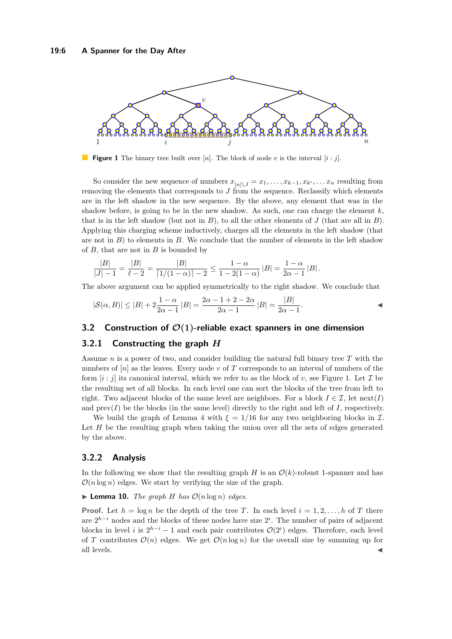<span id="page-5-1"></span>

**Figure 1** The binary tree built over [*n*]. The block of node *v* is the interval [*i* : *j*].

So consider the new sequence of numbers  $x_{[n] \setminus J} = x_1, \ldots, x_{k-1}, x_{k'}, \ldots x_n$  resulting from removing the elements that corresponds to *J* from the sequence. Reclassify which elements are in the left shadow in the new sequence. By the above, any element that was in the shadow before, is going to be in the new shadow. As such, one can charge the element  $k$ , that is in the left shadow (but not in *B*), to all the other elements of *J* (that are all in *B*). Applying this charging scheme inductively, charges all the elements in the left shadow (that are not in *B*) to elements in *B*. We conclude that the number of elements in the left shadow of *B*, that are not in *B* is bounded by

$$
\frac{|B|}{|J|-1} = \frac{|B|}{\ell-2} = \frac{|B|}{\lceil 1/(1-\alpha)\rceil-2} \le \frac{1-\alpha}{1-2(1-\alpha)} |B| = \frac{1-\alpha}{2\alpha-1} |B|.
$$

The above argument can be applied symmetrically to the right shadow. We conclude that

$$
|S(\alpha, B)| \le |B| + 2\frac{1-\alpha}{2\alpha - 1}|B| = \frac{2\alpha - 1 + 2 - 2\alpha}{2\alpha - 1}|B| = \frac{|B|}{2\alpha - 1}.
$$

# <span id="page-5-0"></span>**3.2 Construction of O(1)-reliable exact spanners in one dimension**

# **3.2.1 Constructing the graph** *H*

Assume *n* is a power of two, and consider building the natural full binary tree *T* with the numbers of [*n*] as the leaves. Every node *v* of *T* corresponds to an interval of numbers of the form  $[i : j]$  its canonical interval, which we refer to as the block of *v*, see [Figure 1.](#page-5-1) Let  $\mathcal I$  be the resulting set of all blocks. In each level one can sort the blocks of the tree from left to right. Two adjacent blocks of the same level are neighbors. For a block  $I \in \mathcal{I}$ , let next(*I*) and  $prev(I)$  be the blocks (in the same level) directly to the right and left of  $I$ , respectively.

We build the graph of [Lemma 4](#page-3-1) with  $\xi = 1/16$  for any two neighboring blocks in  $\mathcal{I}$ . Let *H* be the resulting graph when taking the union over all the sets of edges generated by the above.

#### **3.2.2 Analysis**

In the following we show that the resulting graph *H* is an  $\mathcal{O}(k)$ -robust 1-spanner and has  $\mathcal{O}(n \log n)$  edges. We start by verifying the size of the graph.

<span id="page-5-2"></span> $\blacktriangleright$  **Lemma 10.** *The graph H has*  $\mathcal{O}(n \log n)$  *edges.* 

**Proof.** Let  $h = \log n$  be the depth of the tree *T*. In each level  $i = 1, 2, \ldots, h$  of *T* there are 2 *<sup>h</sup>*−*<sup>i</sup>* nodes and the blocks of these nodes have size 2 *i* . The number of pairs of adjacent blocks in level *i* is  $2^{h-i} - 1$  and each pair contributes  $\mathcal{O}(2^i)$  edges. Therefore, each level of *T* contributes  $\mathcal{O}(n)$  edges. We get  $\mathcal{O}(n \log n)$  for the overall size by summing up for all levels.  $\blacktriangleleft$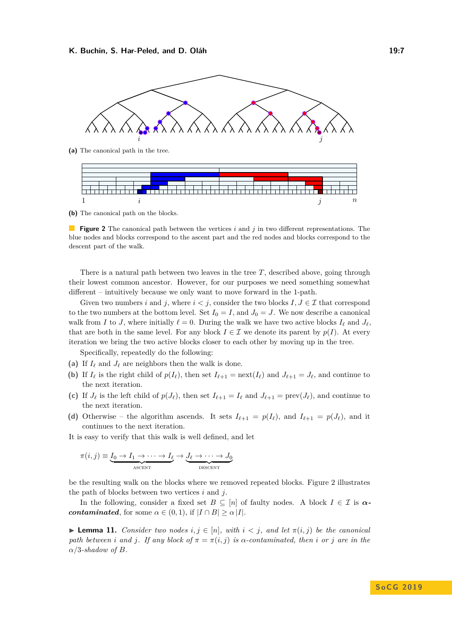#### K. Buchin, S. Har-Peled, and D. Oláh 19:7

<span id="page-6-0"></span>

**(a)** The canonical path in the tree.



**(b)** The canonical path on the blocks.

**Figure 2** The canonical path between the vertices *i* and *j* in two different representations. The blue nodes and blocks correspond to the ascent part and the red nodes and blocks correspond to the descent part of the walk.

There is a natural path between two leaves in the tree *T*, described above, going through their lowest common ancestor. However, for our purposes we need something somewhat different – intuitively because we only want to move forward in the 1-path.

Given two numbers *i* and *j*, where  $i < j$ , consider the two blocks  $I, J \in \mathcal{I}$  that correspond to the two numbers at the bottom level. Set  $I_0 = I$ , and  $J_0 = J$ . We now describe a canonical walk from *I* to *J*, where initially  $\ell = 0$ . During the walk we have two active blocks  $I_{\ell}$  and  $J_{\ell}$ , that are both in the same level. For any block  $I \in \mathcal{I}$  we denote its parent by  $p(I)$ . At every iteration we bring the two active blocks closer to each other by moving up in the tree.

Specifically, repeatedly do the following:

- (a) If  $I_\ell$  and  $J_\ell$  are neighbors then the walk is done.
- (b) If  $I_\ell$  is the right child of  $p(I_\ell)$ , then set  $I_{\ell+1} = \text{next}(I_\ell)$  and  $J_{\ell+1} = J_\ell$ , and continue to the next iteration.
- (c) If  $J_{\ell}$  is the left child of  $p(J_{\ell})$ , then set  $I_{\ell+1} = I_{\ell}$  and  $J_{\ell+1} = \text{prev}(J_{\ell})$ , and continue to the next iteration.
- (d) Otherwise the algorithm ascends. It sets  $I_{\ell+1} = p(I_{\ell})$ , and  $I_{\ell+1} = p(J_{\ell})$ , and it continues to the next iteration.

It is easy to verify that this walk is well defined, and let

$$
\pi(i,j) \equiv \underbrace{I_0 \to I_1 \to \cdots \to I_\ell}_{\text{ASEENT}} \to \underbrace{J_\ell \to \cdots \to J_0}_{\text{DESCENT}}
$$

be the resulting walk on the blocks where we removed repeated blocks. [Figure 2](#page-6-0) illustrates the path of blocks between two vertices *i* and *j*.

In the following, consider a fixed set  $B \subseteq [n]$  of faulty nodes. A block  $I \in \mathcal{I}$  is  $\alpha$ *contaminated*, for some  $\alpha \in (0,1)$ , if  $|I \cap B| \geq \alpha |I|$ .

<span id="page-6-1"></span> $▶$  **Lemma 11.** *Consider two nodes*  $i, j \in [n]$ *, with*  $i < j$ *, and let*  $π(i, j)$  *be the canonical path between i* and *j*. If any block of  $\pi = \pi(i, j)$  is  $\alpha$ -contaminated, then *i* or *j* are in the *α/*3*-shadow of B.*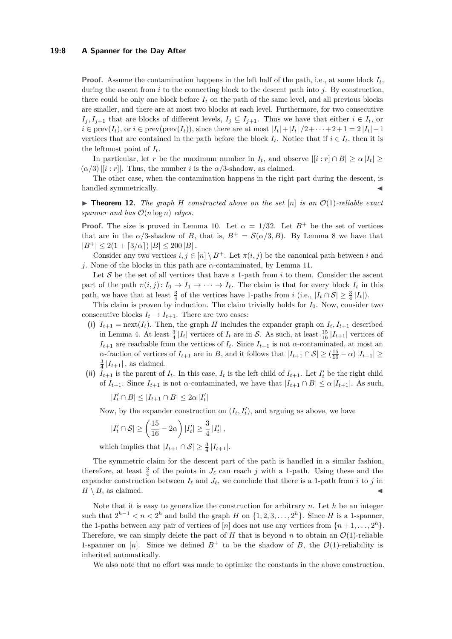#### **19:8 A Spanner for the Day After**

**Proof.** Assume the contamination happens in the left half of the path, i.e., at some block  $I_t$ , during the ascent from  $i$  to the connecting block to the descent path into  $j$ . By construction, there could be only one block before  $I_t$  on the path of the same level, and all previous blocks are smaller, and there are at most two blocks at each level. Furthermore, for two consecutive  $I_j, I_{j+1}$  that are blocks of different levels,  $I_j \subseteq I_{j+1}$ . Thus we have that either  $i \in I_t$ , or  $i \in \text{prev}(I_t)$ , or  $i \in \text{prev}(\text{prev}(I_t))$ , since there are at most  $|I_t| + |I_t|/2 + \cdots + 2 + 1 = 2|I_t| - 1$ vertices that are contained in the path before the block  $I_t$ . Notice that if  $i \in I_t$ , then it is the leftmost point of *It*.

In particular, let *r* be the maximum number in  $I_t$ , and observe  $|[i : r] \cap B| \ge \alpha |I_t|$  $(\alpha/3)$  |[*i* : *r*]|. Thus, the number *i* is the  $\alpha/3$ -shadow, as claimed.

The other case, when the contamination happens in the right part during the descent, is handled symmetrically.

<span id="page-7-0"></span> $\triangleright$  **Theorem 12.** The graph *H* constructed above on the set  $[n]$  is an  $\mathcal{O}(1)$ -reliable exact *spanner and has*  $\mathcal{O}(n \log n)$  *edges.* 

**Proof.** The size is proved in [Lemma 10.](#page-5-2) Let  $\alpha = 1/32$ . Let  $B^+$  be the set of vertices that are in the  $\alpha/3$ -shadow of *B*, that is,  $B^+ = S(\alpha/3, B)$ . By [Lemma 8](#page-4-1) we have that  $|B^+| \leq 2(1 + \lceil 3/\alpha \rceil) |B| \leq 200 |B|$ .

Consider any two vertices  $i, j \in [n] \setminus B^+$ . Let  $\pi(i, j)$  be the canonical path between *i* and *j*. None of the blocks in this path are *α*-contaminated, by [Lemma 11.](#page-6-1)

Let  $S$  be the set of all vertices that have a 1-path from  $i$  to them. Consider the ascent part of the path  $\pi(i, j): I_0 \to I_1 \to \cdots \to I_\ell$ . The claim is that for every block  $I_t$  in this path, we have that at least  $\frac{3}{4}$  of the vertices have 1-paths from *i* (i.e.,  $|I_t \cap S| \geq \frac{3}{4} |I_t|$ ).

This claim is proven by induction. The claim trivially holds for  $I_0$ . Now, consider two consecutive blocks  $I_t \to I_{t+1}$ . There are two cases:

- (i)  $I_{t+1} = \text{next}(I_t)$ . Then, the graph *H* includes the expander graph on  $I_t, I_{t+1}$  described in [Lemma 4.](#page-3-1) At least  $\frac{3}{4}$  | $I_t$ | vertices of  $I_t$  are in S. As such, at least  $\frac{15}{16}$  | $I_{t+1}$ | vertices of *I*<sub>t+1</sub> are reachable from the vertices of *I*<sub>t</sub>. Since *I*<sub>t+1</sub> is not *α*-contaminated, at most an *α*-fraction of vertices of  $I_{t+1}$  are in *B*, and it follows that  $|I_{t+1} \cap S| \geq (\frac{15}{16} - \alpha) |I_{t+1}| \geq$  $\frac{3}{4}$  | $I_{t+1}$ |, as claimed.
- (ii)  $I_{t+1}$  is the parent of  $I_t$ . In this case,  $I_t$  is the left child of  $I_{t+1}$ . Let  $I'_t$  be the right child of  $I_{t+1}$ . Since  $I_{t+1}$  is not  $\alpha$ -contaminated, we have that  $|I_{t+1} \cap B| \leq \alpha |I_{t+1}|$ . As such,

$$
|I'_t\cap B|\leq |I_{t+1}\cap B|\leq 2\alpha\,|I'_t|
$$

Now, by the expander construction on  $(I_t, I'_t)$ , and arguing as above, we have

$$
|I'_t \cap \mathcal{S}| \ge \left(\frac{15}{16} - 2\alpha\right)|I'_t| \ge \frac{3}{4}|I'_t|,
$$

which implies that  $|I_{t+1} \cap S| \geq \frac{3}{4} |I_{t+1}|$ .

The symmetric claim for the descent part of the path is handled in a similar fashion, therefore, at least  $\frac{3}{4}$  of the points in  $J_{\ell}$  can reach *j* with a 1-path. Using these and the expander construction between  $I_\ell$  and  $J_\ell$ , we conclude that there is a 1-path from *i* to *j* in  $H \setminus B$ , as claimed.

Note that it is easy to generalize the construction for arbitrary *n*. Let *h* be an integer such that  $2^{h-1} < n < 2^h$  and build the graph *H* on  $\{1, 2, 3, \ldots, 2^h\}$ . Since *H* is a 1-spanner, the 1-paths between any pair of vertices of  $[n]$  does not use any vertices from  $\{n+1,\ldots,2^h\}$ . Therefore, we can simply delete the part of *H* that is beyond *n* to obtain an  $\mathcal{O}(1)$ -reliable 1-spanner on [*n*]. Since we defined  $B^+$  to be the shadow of *B*, the  $\mathcal{O}(1)$ -reliability is inherited automatically.

We also note that no effort was made to optimize the constants in the above construction.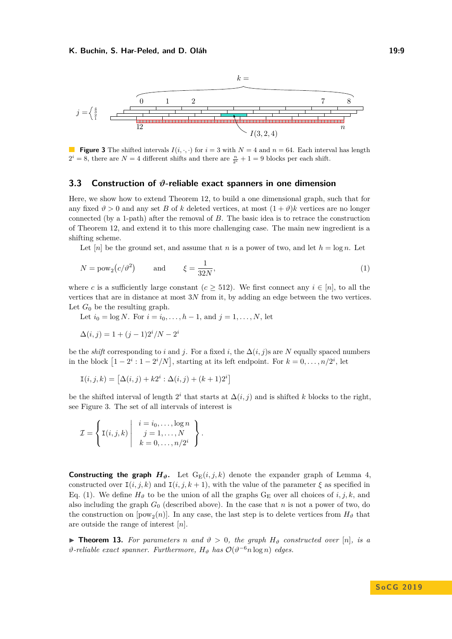<span id="page-8-2"></span>

**Figure 3** The shifted intervals  $I(i, \cdot, \cdot)$  for  $i = 3$  with  $N = 4$  and  $n = 64$ . Each interval has length  $2^{i} = 8$ , there are  $N = 4$  different shifts and there are  $\frac{n}{2^{i}} + 1 = 9$  blocks per each shift.

## <span id="page-8-0"></span>**3.3 Construction of** *ϑ***-reliable exact spanners in one dimension**

Here, we show how to extend [Theorem 12,](#page-7-0) to build a one dimensional graph, such that for any fixed  $\vartheta > 0$  and any set *B* of *k* deleted vertices, at most  $(1 + \vartheta)k$  vertices are no longer connected (by a 1-path) after the removal of *B*. The basic idea is to retrace the construction of [Theorem 12,](#page-7-0) and extend it to this more challenging case. The main new ingredient is a shifting scheme.

<span id="page-8-3"></span>Let  $[n]$  be the ground set, and assume that *n* is a power of two, and let  $h = \log n$ . Let

$$
N = \text{pow}_2(c/\vartheta^2) \quad \text{and} \quad \xi = \frac{1}{32N},\tag{1}
$$

where *c* is a sufficiently large constant  $(c > 512)$ . We first connect any  $i \in [n]$ , to all the vertices that are in distance at most 3*N* from it, by adding an edge between the two vertices. Let  $G_0$  be the resulting graph.

Let  $i_0 = \log N$ . For  $i = i_0, \ldots, h-1$ , and  $j = 1, \ldots, N$ , let

$$
\Delta(i, j) = 1 + (j - 1)2^{i}/N - 2^{i}
$$

be the *shift* corresponding to *i* and *j*. For a fixed *i*, the  $\Delta(i, j)$ s are *N* equally spaced numbers in the block  $\left[1 - 2^i : 1 - 2^i/N\right]$ , starting at its left endpoint. For  $k = 0, \ldots, n/2^i$ , let

$$
\mathbf{I}(i, j, k) = [\Delta(i, j) + k2^{i} : \Delta(i, j) + (k + 1)2^{i}]
$$

be the shifted interval of length  $2^i$  that starts at  $\Delta(i, j)$  and is shifted *k* blocks to the right, see [Figure 3.](#page-8-2) The set of all intervals of interest is

$$
\mathcal{I} = \left\{ \mathbf{I}(i,j,k) \middle| \begin{array}{c} i = i_0, \dots, \log n \\ j = 1, \dots, N \\ k = 0, \dots, n/2^i \end{array} \right\}.
$$

**Constructing the graph**  $H_{\theta}$ . Let  $G_E(i, j, k)$  denote the expander graph of [Lemma 4,](#page-3-1) constructed over  $I(i, j, k)$  and  $I(i, j, k + 1)$ , with the value of the parameter  $\xi$  as specified in [Eq. \(1\).](#page-8-3) We define  $H_{\vartheta}$  to be the union of all the graphs  $G_E$  over all choices of *i, j, k,* and also including the graph *G*<sup>0</sup> (described above). In the case that *n* is not a power of two, do the construction on  $[pow_2(n)]$ . In any case, the last step is to delete vertices from  $H_{\vartheta}$  that are outside the range of interest [*n*].

<span id="page-8-1"></span>**Find 13.** For parameters *n* and  $\vartheta > 0$ , the graph  $H_{\vartheta}$  constructed over [n], is a  $\vartheta$ -reliable exact spanner. Furthermore,  $H_{\vartheta}$  has  $\mathcal{O}(\vartheta^{-6} n \log n)$  edges.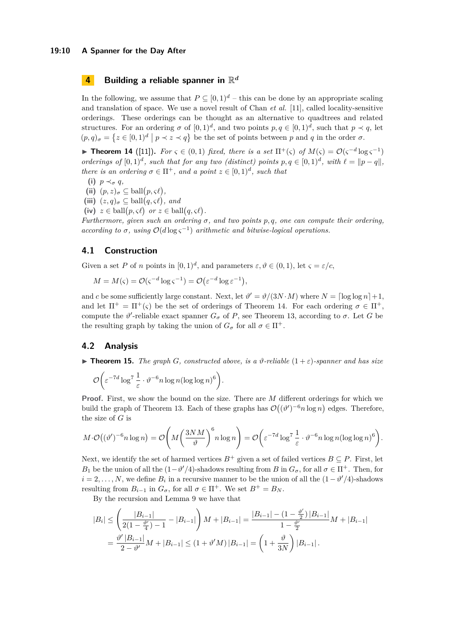# <span id="page-9-0"></span>**4** Building a reliable spanner in  $\mathbb{R}^d$

In the following, we assume that  $P \subseteq [0,1]^d$  – this can be done by an appropriate scaling and translation of space. We use a novel result of Chan *et al.* [\[11\]](#page-14-14), called locality-sensitive orderings. These orderings can be thought as an alternative to quadtrees and related structures. For an ordering  $\sigma$  of  $[0,1)^d$ , and two points  $p, q \in [0,1)^d$ , such that  $p \prec q$ , let  $(p, q)_{\sigma} = \{z \in [0, 1)^d \mid p \prec z \prec q\}$  be the set of points between *p* and *q* in the order  $\sigma$ .

<span id="page-9-1"></span>**► Theorem 14** ([\[11\]](#page-14-14)). For  $\varsigma \in (0,1)$  fixed, there is a set  $\Pi^+(\varsigma)$  of  $M(\varsigma) = \mathcal{O}(\varsigma^{-d} \log \varsigma^{-1})$ *orderings of*  $[0, 1)^d$ , such that for any two (distinct) points  $p, q \in [0, 1)^d$ , with  $\ell = ||p - q||$ , *there is an ordering*  $\sigma \in \Pi^+$ *, and a point*  $z \in [0,1]^d$ *, such that* 

- **(i)**  $p \prec_{\sigma} q$ ,
- (ii)  $(p, z)_{\sigma} \subseteq \text{ball}(p, \varsigma \ell)$ ,
- $(iii)$   $(z, q)_{\sigma} \subseteq \text{ball}(q, \varsigma \ell)$ , and
- (iv)  $z \in \text{ball}(p, \varsigma \ell)$  *or*  $z \in \text{ball}(q, \varsigma \ell)$ .

*Furthermore, given such an ordering σ, and two points p, q, one can compute their ordering, according to*  $\sigma$ *, using*  $\mathcal{O}(d \log \varsigma^{-1})$  *arithmetic and bitwise-logical operations.* 

#### **4.1 Construction**

Given a set *P* of *n* points in  $[0, 1)<sup>d</sup>$ , and parameters  $\varepsilon, \vartheta \in (0, 1)$ , let  $\varsigma = \varepsilon/c$ ,

$$
M = M(\varsigma) = \mathcal{O}(\varsigma^{-d} \log \varsigma^{-1}) = \mathcal{O}(\varepsilon^{-d} \log \varepsilon^{-1}),
$$

and *c* be some sufficiently large constant. Next, let  $\vartheta' = \vartheta/(3N \cdot M)$  where  $N = \lceil \log \log n \rceil + 1$ , and let  $\Pi^+ = \Pi^+(\varsigma)$  be the set of orderings of [Theorem 14.](#page-9-1) For each ordering  $\sigma \in \Pi^+$ , compute the  $\vartheta'$ -reliable exact spanner  $G_{\sigma}$  of P, see [Theorem 13,](#page-8-1) according to  $\sigma$ . Let G be the resulting graph by taking the union of  $G_{\sigma}$  for all  $\sigma \in \Pi^{+}$ .

# **4.2 Analysis**

**Figurer 15.** The graph *G*, constructed above, is a  $\vartheta$ -reliable  $(1+\varepsilon)$ -spanner and has size

$$
\mathcal{O}\bigg(\varepsilon^{-7d}\log^7\frac{1}{\varepsilon}\cdot\vartheta^{-6}n\log n(\log\log n)^6\bigg).
$$

**Proof.** First, we show the bound on the size. There are *M* different orderings for which we build the graph of [Theorem 13.](#page-8-1) Each of these graphs has  $\mathcal{O}((\vartheta')^{-6}n \log n)$  edges. Therefore, the size of *G* is

$$
M \cdot \mathcal{O}\big((\vartheta')^{-6} n \log n\big) = \mathcal{O}\Bigg(M\bigg(\frac{3NM}{\vartheta}\bigg)^6 n \log n\Bigg) = \mathcal{O}\bigg(\varepsilon^{-7d} \log^7 \frac{1}{\varepsilon} \cdot \vartheta^{-6} n \log n (\log \log n)^6\bigg).
$$

Next, we identify the set of harmed vertices  $B^+$  given a set of failed vertices  $B \subseteq P$ . First, let *B*<sub>1</sub> be the union of all the  $(1-\theta'/4)$ -shadows resulting from *B* in  $G_{\sigma}$ , for all  $\sigma \in \Pi^{+}$ . Then, for  $i = 2, \ldots, N$ , we define  $B_i$  in a recursive manner to be the union of all the  $(1 - \vartheta'/4)$ -shadows resulting from  $B_{i-1}$  in  $G_{\sigma}$ , for all  $\sigma \in \Pi^{+}$ . We set  $B^{+} = B_{N}$ .

By the recursion and [Lemma 9](#page-4-2) we have that

$$
|B_i| \le \left(\frac{|B_{i-1}|}{2(1-\frac{\vartheta'}{4})-1} - |B_{i-1}|\right)M + |B_{i-1}| = \frac{|B_{i-1}| - (1-\frac{\vartheta'}{2})|B_{i-1}|}{1-\frac{\vartheta'}{2}}M + |B_{i-1}|
$$
  
=  $\frac{\vartheta'|B_{i-1}|}{2-\vartheta'}M + |B_{i-1}| \le (1+\vartheta'M)|B_{i-1}| = \left(1+\frac{\vartheta}{3N}\right)|B_{i-1}|.$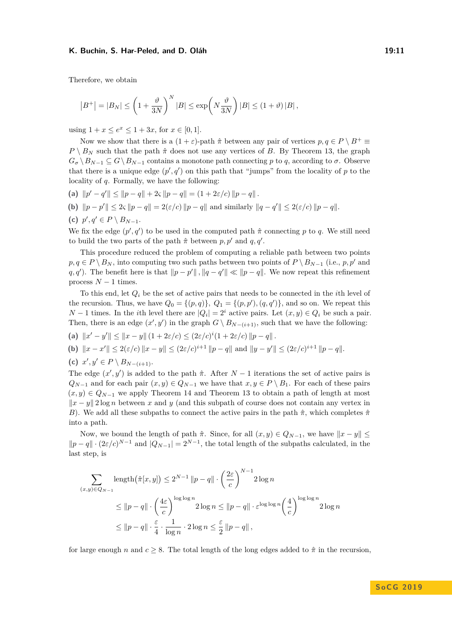#### K. Buchin, S. Har-Peled, and D. Oláh **19:11**

Therefore, we obtain

$$
|B^+| = |B_N| \le \left(1 + \frac{\vartheta}{3N}\right)^N |B| \le \exp\left(N\frac{\vartheta}{3N}\right)|B| \le (1 + \vartheta)|B|,
$$

using  $1 + x \le e^x \le 1 + 3x$ , for  $x \in [0, 1]$ .

Now we show that there is a  $(1 + \varepsilon)$ -path  $\hat{\pi}$  between any pair of vertices  $p, q \in P \setminus B^+$  $P \setminus B_N$  such that the path  $\hat{\pi}$  does not use any vertices of *B*. By [Theorem 13,](#page-8-1) the graph  $G_{\sigma} \setminus B_{N-1} \subseteq G \setminus B_{N-1}$  contains a monotone path connecting *p* to *q*, according to  $\sigma$ . Observe that there is a unique edge  $(p', q')$  on this path that "jumps" from the locality of p to the locality of *q*. Formally, we have the following:

- **(a)**  $||p' q'|| \le ||p q|| + 2\varsigma ||p q|| = (1 + 2\epsilon/c) ||p q||$ .
- **(b)**  $||p p'|| \leq 2\varsigma ||p q|| = 2(\varepsilon/c) ||p q||$  and similarly  $||q q'|| \leq 2(\varepsilon/c) ||p q||$ .
- (c)  $p', q' \in P \setminus B_{N-1}$ .

We fix the edge  $(p', q')$  to be used in the computed path  $\hat{\pi}$  connecting *p* to *q*. We still need to build the two parts of the path  $\hat{\pi}$  between  $p, p'$  and  $q, q'$ .

This procedure reduced the problem of computing a reliable path between two points  $p, q \in P \setminus B_N$ , into computing two such paths between two points of  $P \setminus B_{N-1}$  (i.e.,  $p, p'$  and *q, q*<sup>'</sup>). The benefit here is that  $||p - p'||$ ,  $||q - q'|| \ll ||p - q||$ . We now repeat this refinement process  $N-1$  times.

To this end, let *Q<sup>i</sup>* be the set of active pairs that needs to be connected in the *i*th level of the recursion. Thus, we have  $Q_0 = \{(p,q)\}\$ ,  $Q_1 = \{(p,p'), (q,q')\}$ , and so on. We repeat this *N* − 1 times. In the *i*th level there are  $|Q_i| = 2^i$  active pairs. Let  $(x, y) \in Q_i$  be such a pair. Then, there is an edge  $(x', y')$  in the graph  $G \setminus B_{N-(i+1)}$ , such that we have the following:

(a) 
$$
||x'-y'|| \le ||x-y|| (1+2\varepsilon/c) \le (2\varepsilon/c)^{i} (1+2\varepsilon/c) ||p-q||
$$
.

**(b)**  $||x - x'|| \leq 2(\varepsilon/c) ||x - y|| \leq (2\varepsilon/c)^{i+1} ||p - q||$  and  $||y - y'|| \leq (2\varepsilon/c)^{i+1} ||p - q||$ .

(c) 
$$
x', y' \in P \setminus B_{N-(i+1)}
$$
.

The edge  $(x', y')$  is added to the path  $\hat{\pi}$ . After  $N-1$  iterations the set of active pairs is  $Q_{N-1}$  and for each pair  $(x, y) \in Q_{N-1}$  we have that  $x, y \in P \setminus B_1$ . For each of these pairs  $(x, y) \in Q_{N-1}$  we apply [Theorem 14](#page-9-1) and [Theorem 13](#page-8-1) to obtain a path of length at most  $||x - y||$  2 log *n* between *x* and *y* (and this subpath of course does not contain any vertex in *B*). We add all these subpaths to connect the active pairs in the path  $\hat{\pi}$ , which completes  $\hat{\pi}$ into a path.

Now, we bound the length of path  $\hat{\pi}$ . Since, for all  $(x, y) \in Q_{N-1}$ , we have  $||x - y|| \le$  $||p - q|| \cdot (2\varepsilon/c)^{N-1}$  and  $|Q_{N-1}| = 2^{N-1}$ , the total length of the subpaths calculated, in the last step, is

$$
\sum_{(x,y)\in Q_{N-1}} \text{length}(\hat{\pi}[x,y]) \le 2^{N-1} \|p-q\| \cdot \left(\frac{2\varepsilon}{c}\right)^{N-1} 2 \log n
$$
\n
$$
\le \|p-q\| \cdot \left(\frac{4\varepsilon}{c}\right)^{\log \log n} 2 \log n \le \|p-q\| \cdot \varepsilon^{\log \log n} \left(\frac{4}{c}\right)^{\log \log n} 2 \log n
$$
\n
$$
\le \|p-q\| \cdot \frac{\varepsilon}{4} \cdot \frac{1}{\log n} \cdot 2 \log n \le \frac{\varepsilon}{2} \|p-q\|,
$$

for large enough *n* and  $c \geq 8$ . The total length of the long edges added to  $\hat{\pi}$  in the recursion,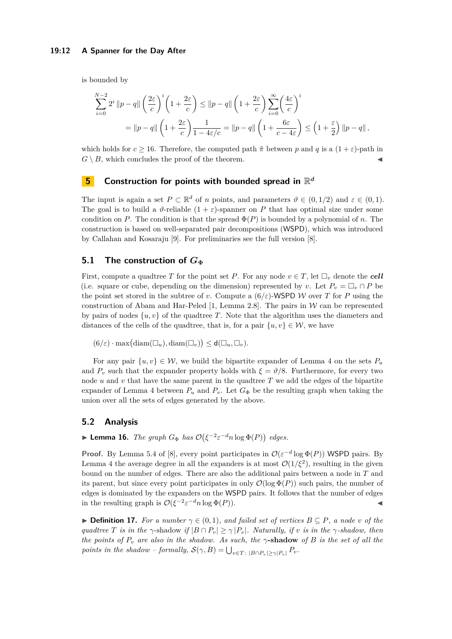is bounded by

$$
\sum_{i=0}^{N-2} 2^i \|p - q\| \left(\frac{2\varepsilon}{c}\right)^i \left(1 + \frac{2\varepsilon}{c}\right) \le \|p - q\| \left(1 + \frac{2\varepsilon}{c}\right) \sum_{i=0}^{\infty} \left(\frac{4\varepsilon}{c}\right)^i
$$
  
= 
$$
\|p - q\| \left(1 + \frac{2\varepsilon}{c}\right) \frac{1}{1 - 4\varepsilon/c} = \|p - q\| \left(1 + \frac{6\varepsilon}{c - 4\varepsilon}\right) \le \left(1 + \frac{\varepsilon}{2}\right) \|p - q\|,
$$

which holds for  $c > 16$ . Therefore, the computed path  $\hat{\pi}$  between p and q is a  $(1 + \varepsilon)$ -path in  $G \setminus B$ , which concludes the proof of the theorem.

# <span id="page-11-0"></span>**5 Construction for points with bounded spread in** R *d*

The input is again a set  $P \subset \mathbb{R}^d$  of *n* points, and parameters  $\vartheta \in (0,1/2)$  and  $\varepsilon \in (0,1)$ . The goal is to build a  $\vartheta$ -reliable  $(1 + \varepsilon)$ -spanner on P that has optimal size under some condition on *P*. The condition is that the spread  $\Phi(P)$  is bounded by a polynomial of *n*. The construction is based on well-separated pair decompositions (WSPD), which was introduced by Callahan and Kosaraju [\[9\]](#page-14-17). For preliminaries see the full version [\[8\]](#page-14-13).

## **5.1 The construction of**  $G_{\Phi}$

First, compute a quadtree *T* for the point set *P*. For any node  $v \in T$ , let  $\Box_v$  denote the *cell* (i.e. square or cube, depending on the dimension) represented by *v*. Let  $P_v = \Box_v \cap P$  be the point set stored in the subtree of *v*. Compute a  $(6/\varepsilon)$ -WSPD W over *T* for *P* using the construction of Abam and Har-Peled [\[1,](#page-14-18) Lemma 2.8]. The pairs in  $W$  can be represented by pairs of nodes  $\{u, v\}$  of the quadtree *T*. Note that the algorithm uses the diameters and distances of the cells of the quadtree, that is, for a pair  $\{u, v\} \in \mathcal{W}$ , we have

$$
(6/\varepsilon) \cdot \max\bigl(\mathrm{diam}(\square_u), \mathrm{diam}(\square_v)\bigr) \leq d(\square_u, \square_v).
$$

For any pair  $\{u, v\} \in \mathcal{W}$ , we build the bipartite expander of [Lemma 4](#page-3-1) on the sets  $P_u$ and  $P_\nu$  such that the expander property holds with  $\xi = \vartheta/8$ . Furthermore, for every two node  $u$  and  $v$  that have the same parent in the quadtree  $T$  we add the edges of the bipartite expander of [Lemma 4](#page-3-1) between  $P_u$  and  $P_v$ . Let  $G_{\Phi}$  be the resulting graph when taking the union over all the sets of edges generated by the above.

## **5.2 Analysis**

<span id="page-11-1"></span>**Example 16.** *The graph*  $G_{\Phi}$  *has*  $\mathcal{O}(\xi^{-2} \varepsilon^{-d} n \log \Phi(P))$  *edges.* 

**Proof.** By Lemma 5.4 of [\[8\]](#page-14-13), every point participates in  $\mathcal{O}(\varepsilon^{-d} \log \Phi(P))$  WSPD pairs. By [Lemma 4](#page-3-1) the average degree in all the expanders is at most  $\mathcal{O}(1/\xi^2)$ , resulting in the given bound on the number of edges. There are also the additional pairs between a node in *T* and its parent, but since every point participates in only  $\mathcal{O}(\log \Phi(P))$  such pairs, the number of edges is dominated by the expanders on the WSPD pairs. It follows that the number of edges in the resulting graph is  $\mathcal{O}(\xi^{-2} \varepsilon^{-d} n \log \Phi(P)).$ 

**► Definition 17.** *For a number*  $\gamma$  ∈ (0,1)*, and failed set of vertices*  $B \subseteq P$ *, a node v of the quadtree T is in the*  $\gamma$ -shadow *if*  $|B \cap P_v| > \gamma |P_v|$ *. Naturally, if v is in the*  $\gamma$ -*shadow, then the points of*  $P_v$  *are also in the shadow. As such, the*  $\gamma$ **-shadow** *of B is the set of all the points in the shadow – formally,*  $S(\gamma, B) = \bigcup_{v \in T} \sum_{|B \cap P_v| \geq \gamma |P_v|} P_v$ .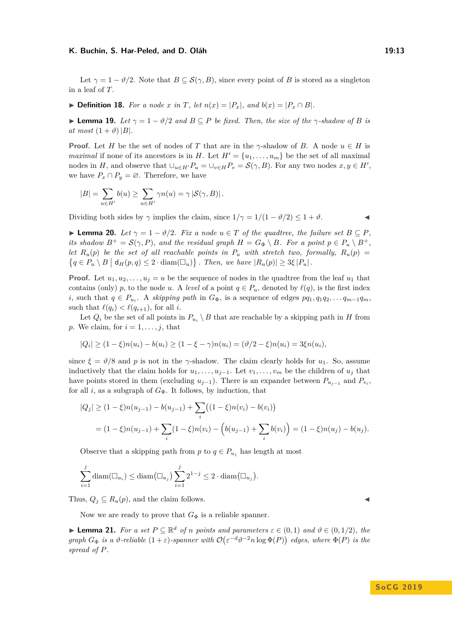#### **K. Buchin, S. Har-Peled, and D. Oláh 19:13**

Let  $\gamma = 1 - \vartheta/2$ . Note that  $B \subseteq \mathcal{S}(\gamma, B)$ , since every point of *B* is stored as a singleton in a leaf of *T*.

▶ **Definition 18.** *For a node x in T*, *let*  $n(x) = |P_x|$ *, and*  $b(x) = |P_x \cap B|$ *.* 

<span id="page-12-1"></span>**► Lemma 19.** Let  $\gamma = 1 - \vartheta/2$  and  $B \subseteq P$  be fixed. Then, the size of the  $\gamma$ -shadow of B is  $at most (1 + \vartheta) |B|.$ 

**Proof.** Let *H* be the set of nodes of *T* that are in the *γ*-shadow of *B*. A node  $u \in H$  is *maximal* if none of its ancestors is in *H*. Let  $H' = \{u_1, \ldots, u_m\}$  be the set of all maximal nodes in *H*, and observe that  $\bigcup_{u \in H'} P_u = \bigcup_{v \in H} P_v = \mathcal{S}(\gamma, B)$ . For any two nodes  $x, y \in H'$ , we have  $P_x \cap P_y = \emptyset$ . Therefore, we have

$$
|B| = \sum_{u \in H'} b(u) \geq \sum_{u \in H'} \gamma n(u) = \gamma \left| \mathcal{S}(\gamma, B) \right|.
$$

Dividing both sides by  $\gamma$  implies the claim, since  $1/\gamma = 1/(1 - \vartheta/2) \leq 1 + \vartheta$ .

<span id="page-12-2"></span>**► Lemma 20.** *Let*  $\gamma = 1 - \vartheta/2$ *. Fix a node*  $u \in T$  *of the quadtree, the failure set*  $B \subseteq P$ *, its shadow*  $B^+ = \mathcal{S}(\gamma, P)$ *, and the residual graph*  $H = G_{\Phi} \setminus B$ *. For a point*  $p \in P_u \setminus B^+$ *, let*  $R_u(p)$  *be the set of all reachable points in*  $P_u$  *with stretch two, formally,*  $R_u(p)$  =  $\{q \in P_u \setminus B \mid d_H(p,q) \leq 2 \cdot \text{diam}(\square_u)\}\$ . *Then, we have*  $|R_u(p)| \geq 3\xi |P_u|$ .

**Proof.** Let  $u_1, u_2, \ldots, u_j = u$  be the sequence of nodes in the quadtree from the leaf  $u_1$  that contains (only) *p*, to the node *u*. A *level* of a point  $q \in P_u$ , denoted by  $\ell(q)$ , is the first index *i*, such that  $q \in P_{u_i}$ . A *skipping path* in  $G_{\Phi}$ , is a sequence of edges  $pq_1, q_1q_2, \ldots q_{m-1}q_m$ , such that  $\ell(q_i) < \ell(q_{i+1})$ , for all *i*.

Let  $Q_i$  be the set of all points in  $P_{u_i} \setminus B$  that are reachable by a skipping path in *H* from *p*. We claim, for  $i = 1, \ldots, j$ , that

$$
|Q_i| \ge (1 - \xi)n(u_i) - b(u_i) \ge (1 - \xi - \gamma)n(u_i) = (\vartheta/2 - \xi)n(u_i) = 3\xi n(u_i),
$$

since  $\xi = \vartheta/8$  and *p* is not in the *γ*-shadow. The claim clearly holds for *u*<sub>1</sub>. So, assume inductively that the claim holds for  $u_1, \ldots, u_{j-1}$ . Let  $v_1, \ldots, v_m$  be the children of  $u_j$  that have points stored in them (excluding  $u_{j-1}$ ). There is an expander between  $P_{u_{j-1}}$  and  $P_{v_i}$ , for all *i*, as a subgraph of  $G_{\Phi}$ . It follows, by induction, that

$$
|Q_j| \ge (1 - \xi)n(u_{j-1}) - b(u_{j-1}) + \sum_i ((1 - \xi)n(v_i) - b(v_i))
$$
  
=  $(1 - \xi)n(u_{j-1}) + \sum_i (1 - \xi)n(v_i) - (b(u_{j-1}) + \sum_i b(v_i)) = (1 - \xi)n(u_j) - b(u_j).$ 

Observe that a skipping path from *p* to  $q \in P_{u_j}$  has length at most

$$
\sum_{i=1}^j \text{diam}(\Box_{u_i}) \le \text{diam}(\Box_{u_j}) \sum_{i=1}^j 2^{1-j} \le 2 \cdot \text{diam}(\Box_{u_j}).
$$

Thus,  $Q_j \subseteq R_u(p)$ , and the claim follows.

Now we are ready to prove that  $G_{\Phi}$  is a reliable spanner.

<span id="page-12-0"></span>► **Lemma 21.** *For a set*  $P \subseteq \mathbb{R}^d$  *of n points and parameters*  $\varepsilon \in (0,1)$  *and*  $\vartheta \in (0,1/2)$ *, the graph*  $G_{\Phi}$  *is a*  $\vartheta$ -reliable  $(1+\varepsilon)$ -spanner with  $\mathcal{O}(\varepsilon^{-d}\vartheta^{-2}n\log \Phi(P))$  edges, where  $\Phi(P)$  *is the spread of P.*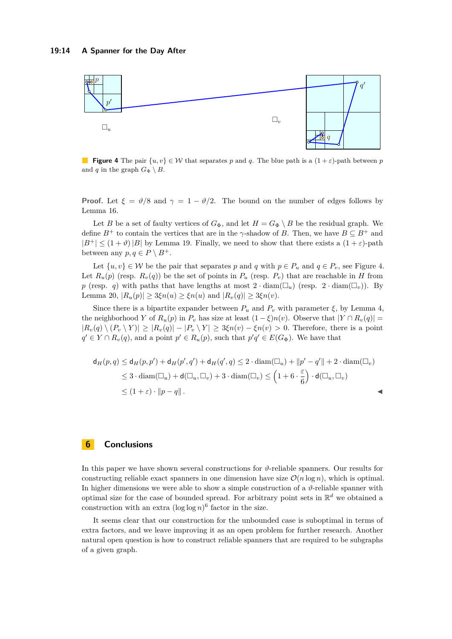<span id="page-13-0"></span>

**Figure 4** The pair  $\{u, v\} \in \mathcal{W}$  that separates *p* and *q*. The blue path is a  $(1 + \varepsilon)$ -path between *p* and *q* in the graph  $G_{\Phi} \setminus B$ .

**Proof.** Let  $\xi = \vartheta/8$  and  $\gamma = 1 - \vartheta/2$ . The bound on the number of edges follows by [Lemma 16.](#page-11-1)

Let *B* be a set of faulty vertices of  $G_{\Phi}$ , and let  $H = G_{\Phi} \setminus B$  be the residual graph. We define  $B^+$  to contain the vertices that are in the *γ*-shadow of *B*. Then, we have  $B \subseteq B^+$  and  $|B^+| \leq (1+\vartheta)|B|$  by [Lemma 19.](#page-12-1) Finally, we need to show that there exists a  $(1+\varepsilon)$ -path between any  $p, q \in P \setminus B^+$ .

Let  $\{u, v\} \in \mathcal{W}$  be the pair that separates p and q with  $p \in P_u$  and  $q \in P_v$ , see [Figure 4.](#page-13-0) Let  $R_u(p)$  (resp.  $R_v(q)$ ) be the set of points in  $P_u$  (resp.  $P_v$ ) that are reachable in *H* from *p* (resp. *q*) with paths that have lengths at most  $2 \cdot \text{diam}(\Box_u)$  (resp.  $2 \cdot \text{diam}(\Box_v)$ ). By [Lemma 20,](#page-12-2)  $|R_u(p)| \geq 3\xi n(u) \geq \xi n(u)$  and  $|R_v(q)| \geq 3\xi n(v)$ .

Since there is a bipartite expander between  $P_u$  and  $P_v$  with parameter  $\xi$ , by [Lemma 4,](#page-3-1) the neighborhood *Y* of  $R_u(p)$  in  $P_v$  has size at least  $(1 - \xi)n(v)$ . Observe that  $|Y \cap R_v(q)| =$  $|R_v(q) \setminus (P_v \setminus Y)| \geq |R_v(q)| - |P_v \setminus Y| \geq 3\xi n(v) - \xi n(v) > 0$ . Therefore, there is a point  $q' \in Y \cap R_v(q)$ , and a point  $p' \in R_u(p)$ , such that  $p'q' \in E(G_{\Phi})$ . We have that

$$
\mathsf{d}_{H}(p,q) \leq \mathsf{d}_{H}(p,p') + \mathsf{d}_{H}(p',q') + \mathsf{d}_{H}(q',q) \leq 2 \cdot \operatorname{diam}(\square_{u}) + ||p'-q'|| + 2 \cdot \operatorname{diam}(\square_{v})
$$
  
\n
$$
\leq 3 \cdot \operatorname{diam}(\square_{u}) + \mathsf{d}(\square_{u},\square_{v}) + 3 \cdot \operatorname{diam}(\square_{v}) \leq \left(1 + 6 \cdot \frac{\varepsilon}{6}\right) \cdot \mathsf{d}(\square_{u},\square_{v})
$$
  
\n
$$
\leq (1 + \varepsilon) \cdot ||p - q||.
$$

# **6 Conclusions**

In this paper we have shown several constructions for *ϑ*-reliable spanners. Our results for constructing reliable exact spanners in one dimension have size  $\mathcal{O}(n \log n)$ , which is optimal. In higher dimensions we were able to show a simple construction of a  $\vartheta$ -reliable spanner with optimal size for the case of bounded spread. For arbitrary point sets in R *<sup>d</sup>* we obtained a construction with an extra  $(\log \log n)^6$  factor in the size.

It seems clear that our construction for the unbounded case is suboptimal in terms of extra factors, and we leave improving it as an open problem for further research. Another natural open question is how to construct reliable spanners that are required to be subgraphs of a given graph.